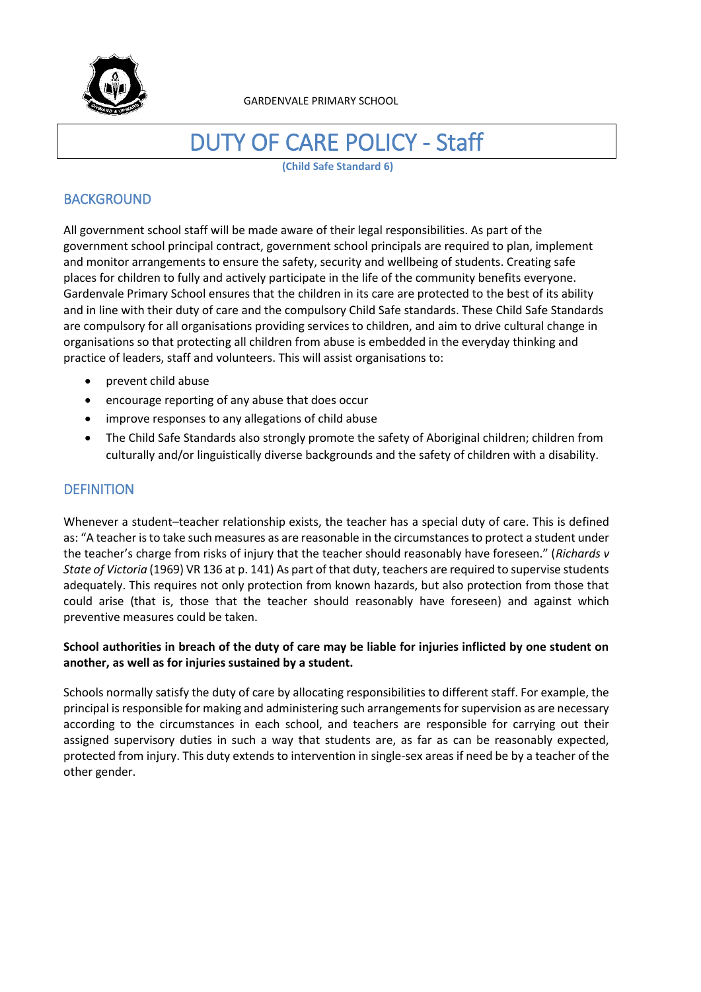

GARDENVALE PRIMARY SCHOOL

# DUTY OF CARE POLICY - Staff

**(Child Safe Standard 6)**

# **BACKGROUND**

All government school staff will be made aware of their legal responsibilities. As part of the government school principal contract, government school principals are required to plan, implement and monitor arrangements to ensure the safety, security and wellbeing of students. Creating safe places for children to fully and actively participate in the life of the community benefits everyone. Gardenvale Primary School ensures that the children in its care are protected to the best of its ability and in line with their duty of care and the compulsory Child Safe standards. These Child Safe Standards are compulsory for all organisations providing services to children, and aim to drive cultural change in organisations so that protecting all children from abuse is embedded in the everyday thinking and practice of leaders, staff and volunteers. This will assist organisations to:

- prevent child abuse
- encourage reporting of any abuse that does occur
- improve responses to any allegations of child abuse
- The Child Safe Standards also strongly promote the safety of Aboriginal children; children from culturally and/or linguistically diverse backgrounds and the safety of children with a disability.

# **DEFINITION**

Whenever a student–teacher relationship exists, the teacher has a special duty of care. This is defined as: "A teacher is to take such measures as are reasonable in the circumstances to protect a student under the teacher's charge from risks of injury that the teacher should reasonably have foreseen." (*Richards v State of Victoria* (1969) VR 136 at p. 141) As part of that duty, teachers are required to supervise students adequately. This requires not only protection from known hazards, but also protection from those that could arise (that is, those that the teacher should reasonably have foreseen) and against which preventive measures could be taken.

## **School authorities in breach of the duty of care may be liable for injuries inflicted by one student on another, as well as for injuries sustained by a student.**

Schools normally satisfy the duty of care by allocating responsibilities to different staff. For example, the principal is responsible for making and administering such arrangements for supervision as are necessary according to the circumstances in each school, and teachers are responsible for carrying out their assigned supervisory duties in such a way that students are, as far as can be reasonably expected, protected from injury. This duty extends to intervention in single-sex areas if need be by a teacher of the other gender.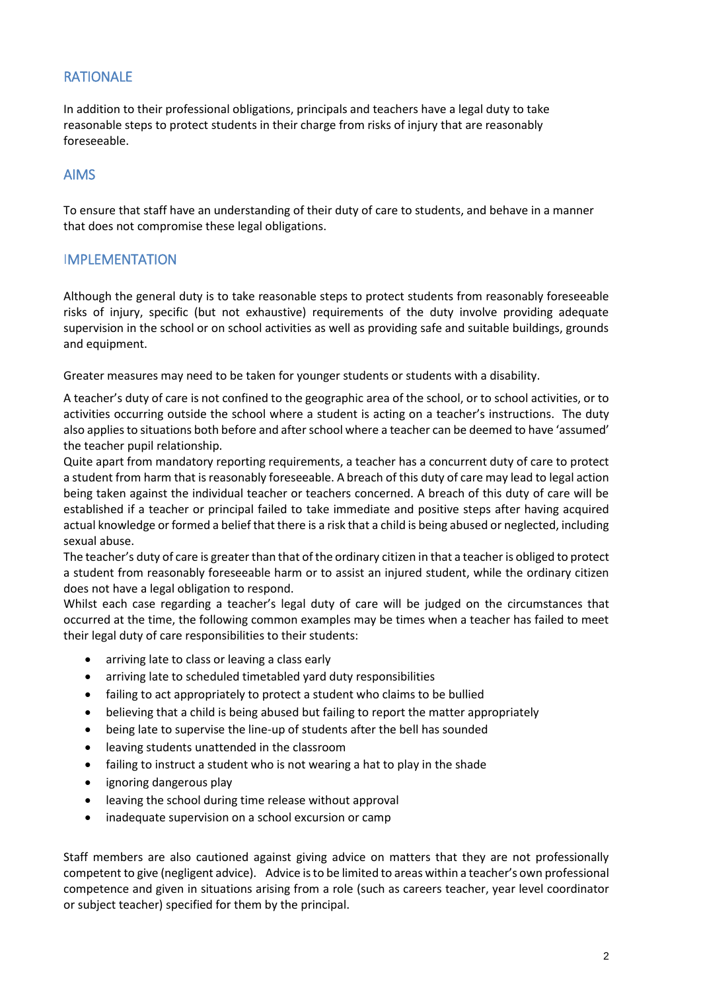# RATIONALE

In addition to their professional obligations, principals and teachers have a legal duty to take reasonable steps to protect students in their charge from risks of injury that are reasonably foreseeable.

# AIMS

To ensure that staff have an understanding of their duty of care to students, and behave in a manner that does not compromise these legal obligations.

## **IMPLEMENTATION**

Although the general duty is to take reasonable steps to protect students from reasonably foreseeable risks of injury, specific (but not exhaustive) requirements of the duty involve providing adequate supervision in the school or on school activities as well as providing safe and suitable buildings, grounds and equipment.

Greater measures may need to be taken for younger students or students with a disability.

A teacher's duty of care is not confined to the geographic area of the school, or to school activities, or to activities occurring outside the school where a student is acting on a teacher's instructions. The duty also applies to situations both before and after school where a teacher can be deemed to have 'assumed' the teacher pupil relationship.

Quite apart from mandatory reporting requirements, a teacher has a concurrent duty of care to protect a student from harm that is reasonably foreseeable. A breach of this duty of care may lead to legal action being taken against the individual teacher or teachers concerned. A breach of this duty of care will be established if a teacher or principal failed to take immediate and positive steps after having acquired actual knowledge or formed a belief that there is a risk that a child is being abused or neglected, including sexual abuse.

The teacher's duty of care is greater than that of the ordinary citizen in that a teacher is obliged to protect a student from reasonably foreseeable harm or to assist an injured student, while the ordinary citizen does not have a legal obligation to respond.

Whilst each case regarding a teacher's legal duty of care will be judged on the circumstances that occurred at the time, the following common examples may be times when a teacher has failed to meet their legal duty of care responsibilities to their students:

- arriving late to class or leaving a class early
- arriving late to scheduled timetabled yard duty responsibilities
- failing to act appropriately to protect a student who claims to be bullied
- believing that a child is being abused but failing to report the matter appropriately
- being late to supervise the line-up of students after the bell has sounded
- leaving students unattended in the classroom
- failing to instruct a student who is not wearing a hat to play in the shade
- ignoring dangerous play
- leaving the school during time release without approval
- inadequate supervision on a school excursion or camp

Staff members are also cautioned against giving advice on matters that they are not professionally competent to give (negligent advice). Advice is to be limited to areas within a teacher's own professional competence and given in situations arising from a role (such as careers teacher, year level coordinator or subject teacher) specified for them by the principal.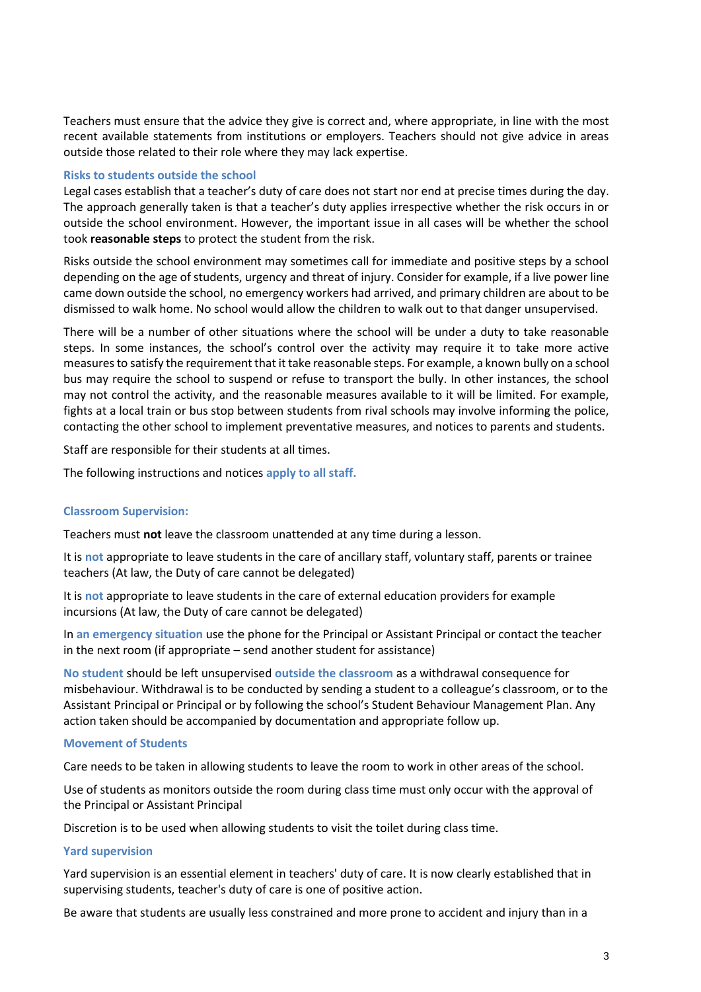Teachers must ensure that the advice they give is correct and, where appropriate, in line with the most recent available statements from institutions or employers. Teachers should not give advice in areas outside those related to their role where they may lack expertise.

### **Risks to students outside the school**

Legal cases establish that a teacher's duty of care does not start nor end at precise times during the day. The approach generally taken is that a teacher's duty applies irrespective whether the risk occurs in or outside the school environment. However, the important issue in all cases will be whether the school took **reasonable steps** to protect the student from the risk.

Risks outside the school environment may sometimes call for immediate and positive steps by a school depending on the age of students, urgency and threat of injury. Consider for example, if a live power line came down outside the school, no emergency workers had arrived, and primary children are about to be dismissed to walk home. No school would allow the children to walk out to that danger unsupervised.

There will be a number of other situations where the school will be under a duty to take reasonable steps. In some instances, the school's control over the activity may require it to take more active measures to satisfy the requirement that it take reasonable steps. For example, a known bully on a school bus may require the school to suspend or refuse to transport the bully. In other instances, the school may not control the activity, and the reasonable measures available to it will be limited. For example, fights at a local train or bus stop between students from rival schools may involve informing the police, contacting the other school to implement preventative measures, and notices to parents and students.

Staff are responsible for their students at all times.

The following instructions and notices **apply to all staff.** 

#### **Classroom Supervision:**

Teachers must **not** leave the classroom unattended at any time during a lesson.

It is **not** appropriate to leave students in the care of ancillary staff, voluntary staff, parents or trainee teachers (At law, the Duty of care cannot be delegated)

It is **not** appropriate to leave students in the care of external education providers for example incursions (At law, the Duty of care cannot be delegated)

In **an emergency situation** use the phone for the Principal or Assistant Principal or contact the teacher in the next room (if appropriate – send another student for assistance)

**No student** should be left unsupervised **outside the classroom** as a withdrawal consequence for misbehaviour. Withdrawal is to be conducted by sending a student to a colleague's classroom, or to the Assistant Principal or Principal or by following the school's Student Behaviour Management Plan. Any action taken should be accompanied by documentation and appropriate follow up.

#### **Movement of Students**

Care needs to be taken in allowing students to leave the room to work in other areas of the school.

Use of students as monitors outside the room during class time must only occur with the approval of the Principal or Assistant Principal

Discretion is to be used when allowing students to visit the toilet during class time.

## **Yard supervision**

Yard supervision is an essential element in teachers' duty of care. It is now clearly established that in supervising students, teacher's duty of care is one of positive action.

Be aware that students are usually less constrained and more prone to accident and injury than in a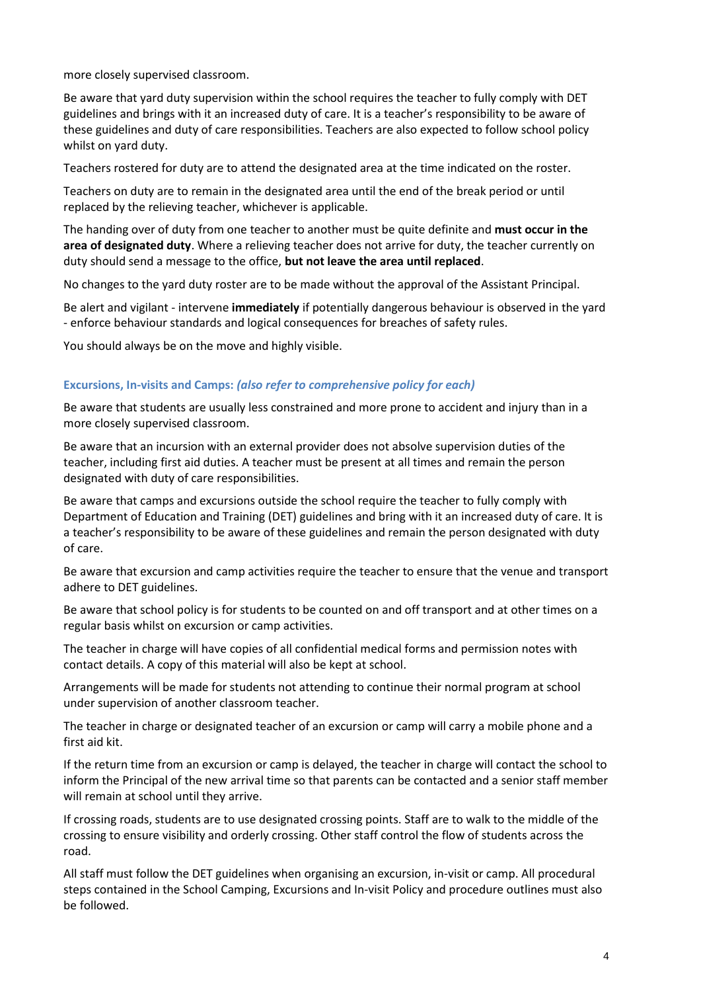more closely supervised classroom.

Be aware that yard duty supervision within the school requires the teacher to fully comply with DET guidelines and brings with it an increased duty of care. It is a teacher's responsibility to be aware of these guidelines and duty of care responsibilities. Teachers are also expected to follow school policy whilst on yard duty.

Teachers rostered for duty are to attend the designated area at the time indicated on the roster.

Teachers on duty are to remain in the designated area until the end of the break period or until replaced by the relieving teacher, whichever is applicable.

The handing over of duty from one teacher to another must be quite definite and **must occur in the area of designated duty**. Where a relieving teacher does not arrive for duty, the teacher currently on duty should send a message to the office, **but not leave the area until replaced**.

No changes to the yard duty roster are to be made without the approval of the Assistant Principal.

Be alert and vigilant - intervene **immediately** if potentially dangerous behaviour is observed in the yard - enforce behaviour standards and logical consequences for breaches of safety rules.

You should always be on the move and highly visible.

## **Excursions, In-visits and Camps:** *(also refer to comprehensive policy for each)*

Be aware that students are usually less constrained and more prone to accident and injury than in a more closely supervised classroom.

Be aware that an incursion with an external provider does not absolve supervision duties of the teacher, including first aid duties. A teacher must be present at all times and remain the person designated with duty of care responsibilities.

Be aware that camps and excursions outside the school require the teacher to fully comply with Department of Education and Training (DET) guidelines and bring with it an increased duty of care. It is a teacher's responsibility to be aware of these guidelines and remain the person designated with duty of care.

Be aware that excursion and camp activities require the teacher to ensure that the venue and transport adhere to DET guidelines.

Be aware that school policy is for students to be counted on and off transport and at other times on a regular basis whilst on excursion or camp activities.

The teacher in charge will have copies of all confidential medical forms and permission notes with contact details. A copy of this material will also be kept at school.

Arrangements will be made for students not attending to continue their normal program at school under supervision of another classroom teacher.

The teacher in charge or designated teacher of an excursion or camp will carry a mobile phone and a first aid kit.

If the return time from an excursion or camp is delayed, the teacher in charge will contact the school to inform the Principal of the new arrival time so that parents can be contacted and a senior staff member will remain at school until they arrive.

If crossing roads, students are to use designated crossing points. Staff are to walk to the middle of the crossing to ensure visibility and orderly crossing. Other staff control the flow of students across the road.

All staff must follow the DET guidelines when organising an excursion, in-visit or camp. All procedural steps contained in the School Camping, Excursions and In-visit Policy and procedure outlines must also be followed.